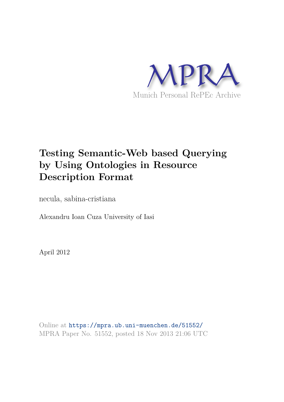

# **Testing Semantic-Web based Querying by Using Ontologies in Resource Description Format**

necula, sabina-cristiana

Alexandru Ioan Cuza University of Iasi

April 2012

Online at https://mpra.ub.uni-muenchen.de/51552/ MPRA Paper No. 51552, posted 18 Nov 2013 21:06 UTC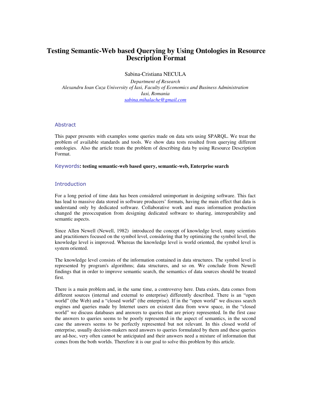# **Testing Semantic-Web based Querying by Using Ontologies in Resource Description Format**

Sabina-Cristiana NECULA

*Department of Research Alexandru Ioan Cuza University of Iasi, Faculty of Economics and Business Administration Iasi, Romania [sabina.mihalache@gmail.com](mailto:sabina.mihalache@gmail.com)* 

### Abstract

This paper presents with examples some queries made on data sets using SPARQL. We treat the problem of available standards and tools. We show data tests resulted from querying different ontologies. Also the article treats the problem of describing data by using Resource Description Format.

#### Keywords**: testing semantic-web based query, semantic-web, Enterprise search**

# **Introduction**

For a long period of time data has been considered unimportant in designing software. This fact has lead to massive data stored in software producers' formats, having the main effect that data is understand only by dedicated software. Collaborative work and mass information production changed the preoccupation from designing dedicated software to sharing, interoperability and semantic aspects.

Since Allen Newell (Newell, 1982) introduced the concept of knowledge level, many scientists and practitioners focused on the symbol level, considering that by optimizing the symbol level, the knowledge level is improved. Whereas the knowledge level is world oriented, the symbol level is system oriented.

The knowledge level consists of the information contained in data structures. The symbol level is represented by program's algorithms; data structures, and so on. We conclude from Newell findings that in order to improve semantic search, the semantics of data sources should be treated first.

There is a main problem and, in the same time, a controversy here. Data exists, data comes from different sources (internal and external to enterprise) differently described. There is an "open world" (the Web) and a "closed world" (the enterprise). If in the "open world" we discuss search engines and queries made by Internet users on existent data from www space, in the "closed" world" we discuss databases and answers to queries that are priory represented. In the first case the answers to queries seems to be poorly represented in the aspect of semantics, in the second case the answers seems to be perfectly represented but not relevant. In this closed world of enterprise, usually decision-makers need answers to queries formulated by them and these queries are ad-hoc, very often cannot be anticipated and their answers need a mixture of information that comes from the both worlds. Therefore it is our goal to solve this problem by this article.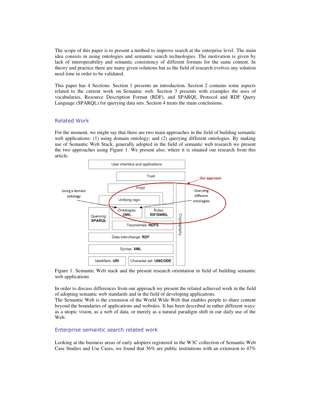The scope of this paper is to present a method to improve search at the enterprise level. The main idea consists in using ontologies and semantic search technologies. The motivation is given by lack of interoperability and semantic consistency of different formats for the same content. In theory and practice there are many given solutions but as the field of research evolves any solution need time in order to be validated.

This paper has 4 Sections. Section 1 presents an introduction. Section 2 contains some aspects related to the current work on Semantic web. Section 3 presents with examples the uses of vocabularies, Resource Description Format (RDF), and SPARQL Protocol and RDF Query Language (SPARQL) for querying data sets. Section 4 treats the main conclusions.

### Related Work

For the moment, we might say that there are two main approaches in the field of building semantic web applications: (1) using domain ontology; and (2) querying different ontologies. By making use of Semantic Web Stack, generally adopted in the field of semantic web research we present the two approaches using Figure 1. We present also, where it is situated our research from this article.



Figure 1. Semantic Web stack and the present research orientation in field of building semantic web applications

In order to discuss differences from our approach we present the related achieved work in the field of adopting semantic web standards and in the field of developing applications.

The Semantic Web is the extension of the World Wide Web that enables people to share content beyond the boundaries of applications and websites. It has been described in rather different ways: as a utopic vision, as a web of data, or merely as a natural paradigm shift in our daily use of the Web.

## Enterprise semantic search related work

Looking at the business areas of early adopters registered in the W3C collection of Semantic Web Case Studies and Use Cases, we found that 36% are public institutions with an extension to 47%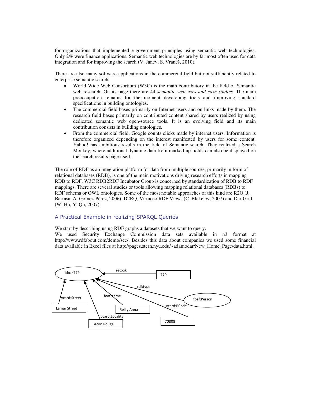for organizations that implemented e-government principles using semantic web technologies. Only 2% were finance applications. Semantic web technologies are by far most often used for data integration and for improving the search (V. Janev, S. Vraneš, 2010).

There are also many software applications in the commercial field but not sufficiently related to enterprise semantic search:

- World Wide Web Consortium (W3C) is the main contributory in the field of Semantic web research. On its page there are 44 *semantic web uses and case studies*. The main preoccupation remains for the moment developing tools and improving standard specifications in building ontologies.
- The commercial field bases primarily on Internet users and on links made by them. The research field bases primarily on contributed content shared by users realized by using dedicated semantic web open-source tools. It is an evolving field and its main contribution consists in building ontologies.
- From the commercial field, Google counts clicks made by internet users. Information is therefore organized depending on the interest manifested by users for some content. Yahoo! has ambitious results in the field of Semantic search. They realized a Search Monkey, where additional dynamic data from marked up fields can also be displayed on the search results page itself.

The role of RDF as an integration platform for data from multiple sources, primarily in form of relational databases (RDB), is one of the main motivations driving research efforts in mapping RDB to RDF. W3C RDB2RDF Incubator Group is concerned by standardization of RDB to RDF mappings. There are several studies or tools allowing mapping relational databases (RDBs) to RDF schema or OWL ontologies. Some of the most notable approaches of this kind are R2O (J. Barrasa, A. Gómez-Pérez, 2006), D2RQ, Virtuoso RDF Views (C. Blakeley, 2007) and DartGrid (W. Hu, Y. Qu, 2007).

# A Practical Example in realizing SPARQL Queries

We start by describing using RDF graphs a datasets that we want to query.

We used Security Exchange Commission data sets available in n3 format at [http://www.rdfabout.com/demo/sec/.](http://www.rdfabout.com/demo/sec/) Besides this data about companies we used some financial data available in Excel files a[t http://pages.stern.nyu.edu/~adamodar/New\\_Home\\_Page/data.html.](http://pages.stern.nyu.edu/~adamodar/New_Home_Page/data.html)

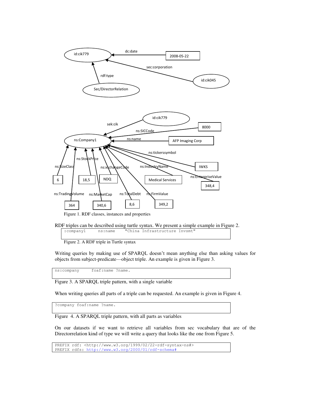

Figure 1. RDF classes, instances and properties

Figure 2. A RDF triple in Turtle syntax

Writing queries by making use of SPARQL doesn't mean anything else than asking values for objects from subject-predicate—object triple. An example is given in Figure 3.

ns:company foaf:name ?name.

Figure 3. A SPARQL triple pattern, with a single variable

When writing queries all parts of a triple can be requested. An example is given in Figure 4.

?company foaf:name ?name.

Figure 4. A SPARQL triple pattern, with all parts as variables

On our datasets if we want to retrieve all variables from sec vocabulary that are of the Directorrelation kind of type we will write a query that looks like the one from Figure 5.

PREFIX rdf: <http://www.w3.org/1999/02/22-rdf-syntax-ns#> PREFIX rdfs: [http://www.w3.org/2000/01/rdf-schema#](http://www.w3.org/2000/01/rdf-schema)

RDF triples can be described using turtle syntax. We present a simple example in Figure 2.<br>  $\frac{\text{company1}}{\text{isimap}}$  is siname "China Infrastructure Invsmt" :company1 ns:name "China Infrastructure Invsmt"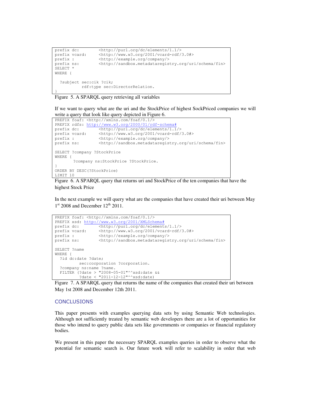```
prefix dc: <http://purl.org/dc/elements/1.1/>
prefix vcard: <http://www.w3.org/2001/vcard-rdf/3.0#> 
prefix : \langle \text{http://example.org/company/} \rangle<br>prefix ns: \langle \text{http://sandbox.metadataregis} \rangleprefix ns: <http://sandbox.metadataregistry.org/uri/schema/fin>
SELECT *
WHERE {
   ?subject sec:cik ?cik;
               rdf:type sec:DirectorRelation.
}
```
Figure 5. A SPARQL query retrieving all variables

If we want to query what are the uri and the StockPrice of highest SockPriced companies we will write a query that look like query depicted in Figure 6.

```
PREFIX foaf: <http://xmlns.com/foaf/0.1/>
PREFIX rdfs: http://www.w3.org/2000/01/rdf-schema#
prefix dc: \frac{\text{Kutp:}/\text{purl.org}/\text{dc}/\text{elements}/1.1}{\text{Kutp:}/\text{purl.org}/\text{dc}/\text{elements}/1.1}prefix vcard: <http://www.w3.org/2001/vcard-rdf/3.0#> 
prefix vcara: \frac{1}{2} //example.org/company/><br>prefix : \frac{1}{2} //example.org/company/>
prefix ns: <br/> <http://sandbox.metadataregistry.org/uri/schema/fin>
SELECT ?company ?StockPrice
WHERE {
          ?company ns:StockPrice ?StockPrice.
} 
ORDER BY DESC(?StockPrice)
LIMIT 10
```
Figure 6. A SPARQL query that returns uri and StockPrice of the ten companies that have the highest Stock Price

In the next example we will query what are the companies that have created their uri between May  $1<sup>st</sup>$  2008 and December  $12<sup>th</sup>$  2011.

```
PREFIX foaf: <http://xmlns.com/foaf/0.1/>
PREFIX xsd: http://www.w3.org/2001/XMLSchema#
prefix dc: \frac{\text{thtip:}}{\text{thpti.}}prefix vcard: <http://www.w3.org/2001/vcard-rdf/3.0#> 
prefix : <http://example.org/company/> 
prefix ns: <http://sandbox.metadataregistry.org/uri/schema/fin>
SELECT ?name
WHERE {
   ?id dc:date ?date;
          sec:corporation ?corporation.
   ?company ns:name ?name.
   FILTER (?date > "2008-05-01"^^xsd:date && 
          ?date < "2011-12-12"^^xsd:date)
```
Figure 7. A SPARQL query that returns the name of the companies that created their uri between May 1st 2008 and December 12th 2011.

# **CONCLUSIONS**

This paper presents with examples querying data sets by using Semantic Web technologies. Although not sufficiently treated by semantic web developers there are a lot of opportunities for those who intend to query public data sets like governments or companies or financial regulatory bodies.

We present in this paper the necessary SPARQL examples queries in order to observe what the potential for semantic search is. Our future work will refer to scalability in order that web